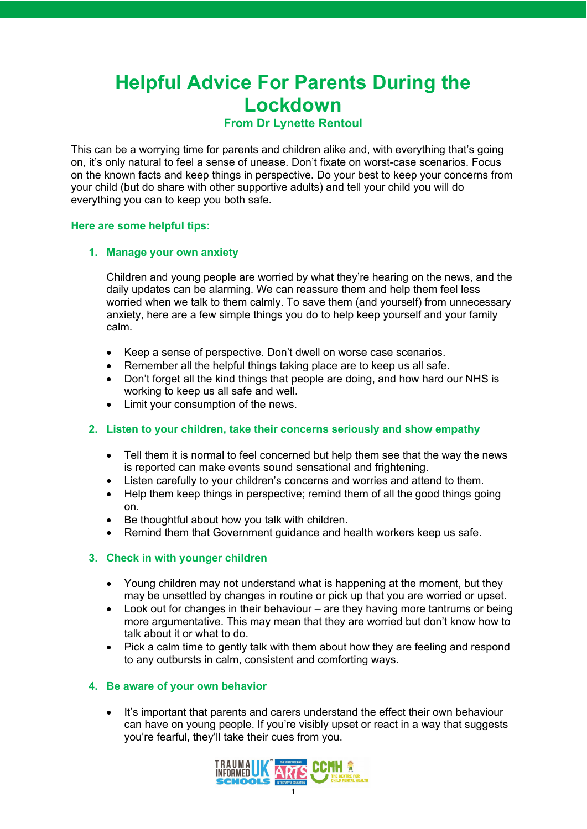# **Helpful Advice For Parents During the Lockdown**

## **From Dr Lynette Rentoul**

This can be a worrying time for parents and children alike and, with everything that's going on, it's only natural to feel a sense of unease. Don't fixate on worst-case scenarios. Focus on the known facts and keep things in perspective. Do your best to keep your concerns from your child (but do share with other supportive adults) and tell your child you will do everything you can to keep you both safe.

## **Here are some helpful tips:**

#### **1. Manage your own anxiety**

Children and young people are worried by what they're hearing on the news, and the daily updates can be alarming. We can reassure them and help them feel less worried when we talk to them calmly. To save them (and yourself) from unnecessary anxiety, here are a few simple things you do to help keep yourself and your family calm.

- Keep a sense of perspective. Don't dwell on worse case scenarios.
- Remember all the helpful things taking place are to keep us all safe.
- Don't forget all the kind things that people are doing, and how hard our NHS is working to keep us all safe and well.
- Limit your consumption of the news.

## **2. Listen to your children, take their concerns seriously and show empathy**

- Tell them it is normal to feel concerned but help them see that the way the news is reported can make events sound sensational and frightening.
- Listen carefully to your children's concerns and worries and attend to them.
- Help them keep things in perspective; remind them of all the good things going on.
- Be thoughtful about how you talk with children.
- Remind them that Government guidance and health workers keep us safe.

## **3. Check in with younger children**

- Young children may not understand what is happening at the moment, but they may be unsettled by changes in routine or pick up that you are worried or upset.
- Look out for changes in their behaviour are they having more tantrums or being more argumentative. This may mean that they are worried but don't know how to talk about it or what to do.
- Pick a calm time to gently talk with them about how they are feeling and respond to any outbursts in calm, consistent and comforting ways.

## **4. Be aware of your own behavior**

• It's important that parents and carers understand the effect their own behaviour can have on young people. If you're visibly upset or react in a way that suggests you're fearful, they'll take their cues from you.

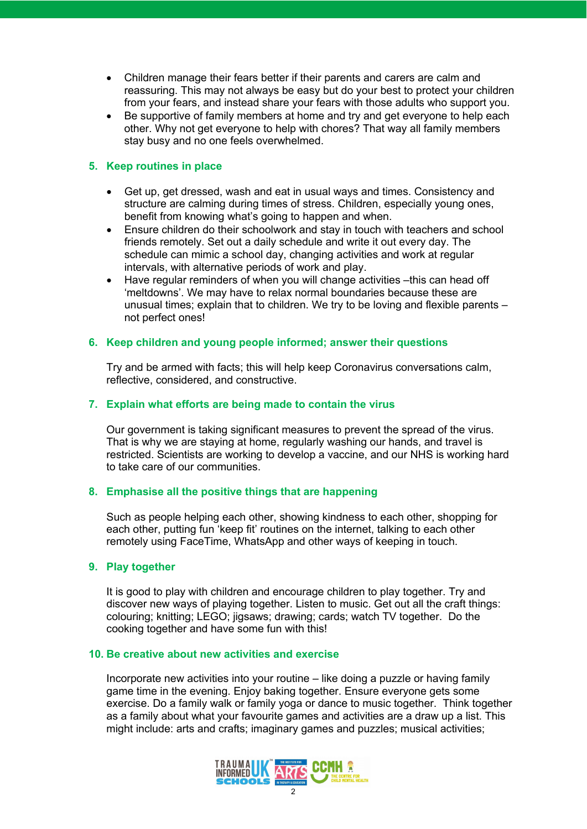- Children manage their fears better if their parents and carers are calm and reassuring. This may not always be easy but do your best to protect your children from your fears, and instead share your fears with those adults who support you.
- Be supportive of family members at home and try and get everyone to help each other. Why not get everyone to help with chores? That way all family members stay busy and no one feels overwhelmed.

## **5. Keep routines in place**

- Get up, get dressed, wash and eat in usual ways and times. Consistency and structure are calming during times of stress. Children, especially young ones, benefit from knowing what's going to happen and when.
- Ensure children do their schoolwork and stay in touch with teachers and school friends remotely. Set out a daily schedule and write it out every day. The schedule can mimic a school day, changing activities and work at regular intervals, with alternative periods of work and play.
- Have regular reminders of when you will change activities –this can head off 'meltdowns'. We may have to relax normal boundaries because these are unusual times; explain that to children. We try to be loving and flexible parents – not perfect ones!

#### **6. Keep children and young people informed; answer their questions**

Try and be armed with facts; this will help keep Coronavirus conversations calm, reflective, considered, and constructive.

## **7. Explain what efforts are being made to contain the virus**

Our government is taking significant measures to prevent the spread of the virus. That is why we are staying at home, regularly washing our hands, and travel is restricted. Scientists are working to develop a vaccine, and our NHS is working hard to take care of our communities.

## **8. Emphasise all the positive things that are happening**

Such as people helping each other, showing kindness to each other, shopping for each other, putting fun 'keep fit' routines on the internet, talking to each other remotely using FaceTime, WhatsApp and other ways of keeping in touch.

#### **9. Play together**

It is good to play with children and encourage children to play together. Try and discover new ways of playing together. Listen to music. Get out all the craft things: colouring; knitting; LEGO; jigsaws; drawing; cards; watch TV together. Do the cooking together and have some fun with this!

#### **10. Be creative about new activities and exercise**

Incorporate new activities into your routine – like doing a puzzle or having family game time in the evening. Enjoy baking together. Ensure everyone gets some exercise. Do a family walk or family yoga or dance to music together. Think together as a family about what your favourite games and activities are a draw up a list. This might include: arts and crafts; imaginary games and puzzles; musical activities;

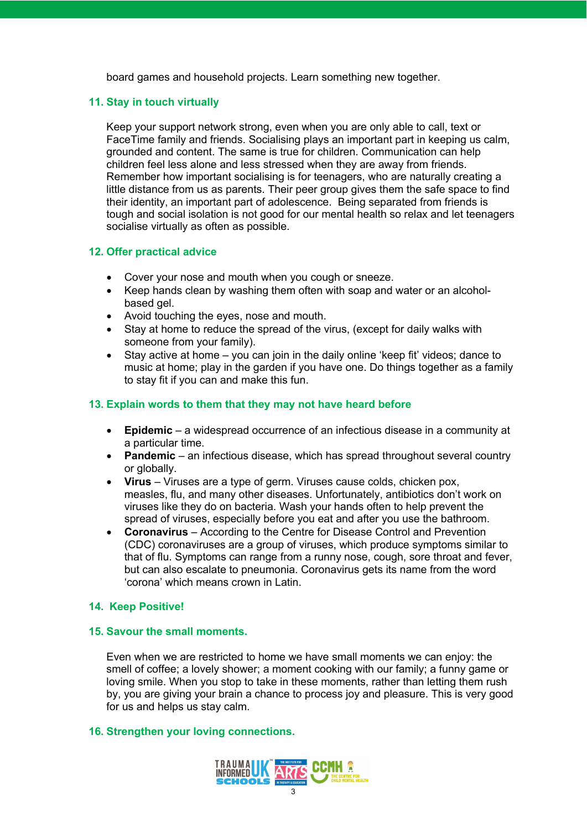board games and household projects. Learn something new together.

#### **11. Stay in touch virtually**

Keep your support network strong, even when you are only able to call, text or FaceTime family and friends. Socialising plays an important part in keeping us calm, grounded and content. The same is true for children. Communication can help children feel less alone and less stressed when they are away from friends. Remember how important socialising is for teenagers, who are naturally creating a little distance from us as parents. Their peer group gives them the safe space to find their identity, an important part of adolescence. Being separated from friends is tough and social isolation is not good for our mental health so relax and let teenagers socialise virtually as often as possible.

#### **12. Offer practical advice**

- Cover your nose and mouth when you cough or sneeze.
- Keep hands clean by washing them often with soap and water or an alcoholbased gel.
- Avoid touching the eyes, nose and mouth.
- Stay at home to reduce the spread of the virus, (except for daily walks with someone from your family).
- Stay active at home you can join in the daily online 'keep fit' videos; dance to music at home; play in the garden if you have one. Do things together as a family to stay fit if you can and make this fun.

## **13. Explain words to them that they may not have heard before**

- **Epidemic** a widespread occurrence of an infectious disease in a community at a particular time.
- **Pandemic** an infectious disease, which has spread throughout several country or globally.
- **Virus** Viruses are a type of germ. Viruses cause colds, chicken pox, measles, flu, and many other diseases. Unfortunately, antibiotics don't work on viruses like they do on bacteria. Wash your hands often to help prevent the spread of viruses, especially before you eat and after you use the bathroom.
- **Coronavirus** According to the Centre for Disease Control and Prevention (CDC) coronaviruses are a group of viruses, which produce symptoms similar to that of flu. Symptoms can range from a runny nose, cough, sore throat and fever, but can also escalate to pneumonia. Coronavirus gets its name from the word 'corona' which means crown in Latin.

## **14. Keep Positive!**

## **15. Savour the small moments.**

Even when we are restricted to home we have small moments we can enjoy: the smell of coffee; a lovely shower; a moment cooking with our family; a funny game or loving smile. When you stop to take in these moments, rather than letting them rush by, you are giving your brain a chance to process joy and pleasure. This is very good for us and helps us stay calm.

#### **16. Strengthen your loving connections.**

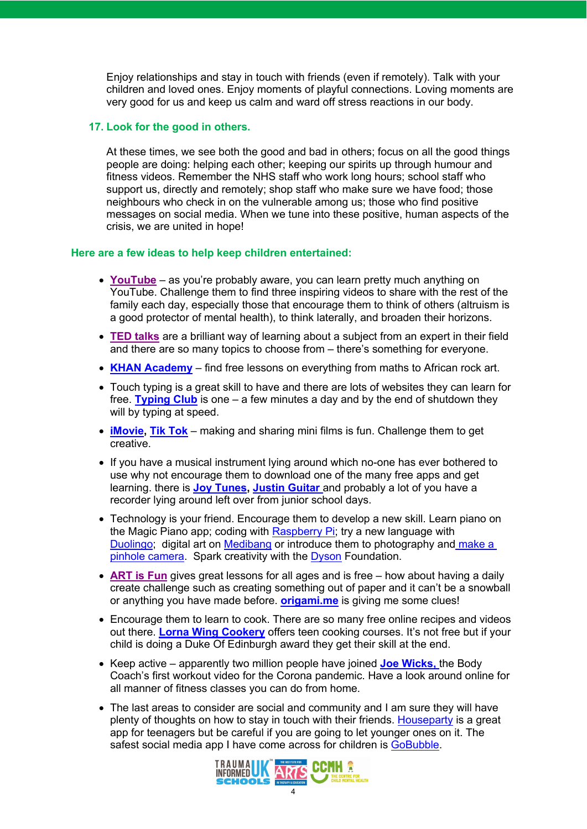Enjoy relationships and stay in touch with friends (even if remotely). Talk with your children and loved ones. Enjoy moments of playful connections. Loving moments are very good for us and keep us calm and ward off stress reactions in our body.

#### **17. Look for the good in others.**

At these times, we see both the good and bad in others; focus on all the good things people are doing: helping each other; keeping our spirits up through humour and fitness videos. Remember the NHS staff who work long hours; school staff who support us, directly and remotely; shop staff who make sure we have food; those neighbours who check in on the vulnerable among us; those who find positive messages on social media. When we tune into these positive, human aspects of the crisis, we are united in hope!

#### **Here are a few ideas to help keep children entertained:**

- **YouTube** as you're probably aware, you can learn pretty much anything on YouTube. Challenge them to find three inspiring videos to share with the rest of the family each day, especially those that encourage them to think of others (altruism is a good protector of mental health), to think laterally, and broaden their horizons.
- **TED talks** are a brilliant way of learning about a subject from an expert in their field and there are so many topics to choose from – there's something for everyone.
- **KHAN Academy** find free lessons on everything from maths to African rock art.
- Touch typing is a great skill to have and there are lots of websites they can learn for free. **Typing Club** is one – a few minutes a day and by the end of shutdown they will by typing at speed.
- **iMovie, Tik Tok** making and sharing mini films is fun. Challenge them to get creative.
- If you have a musical instrument lying around which no-one has ever bothered to use why not encourage them to download one of the many free apps and get learning. there is **Joy Tunes, Justin Guitar** and probably a lot of you have a recorder lying around left over from junior school days.
- Technology is your friend. Encourage them to develop a new skill. Learn piano on the Magic Piano app; coding with Raspberry Pi; try a new language with Duolingo; digital art on Medibang or introduce them to photography and make a pinhole camera. Spark creativity with the Dyson Foundation.
- **ART is Fun** gives great lessons for all ages and is free how about having a daily create challenge such as creating something out of paper and it can't be a snowball or anything you have made before. **origami.me** is giving me some clues!
- Encourage them to learn to cook. There are so many free online recipes and videos out there. **Lorna Wing Cookery** offers teen cooking courses. It's not free but if your child is doing a Duke Of Edinburgh award they get their skill at the end.
- Keep active apparently two million people have joined **Joe Wicks,** the Body Coach's first workout video for the Corona pandemic. Have a look around online for all manner of fitness classes you can do from home.
- The last areas to consider are social and community and I am sure they will have plenty of thoughts on how to stay in touch with their friends. Houseparty is a great app for teenagers but be careful if you are going to let younger ones on it. The safest social media app I have come across for children is GoBubble.